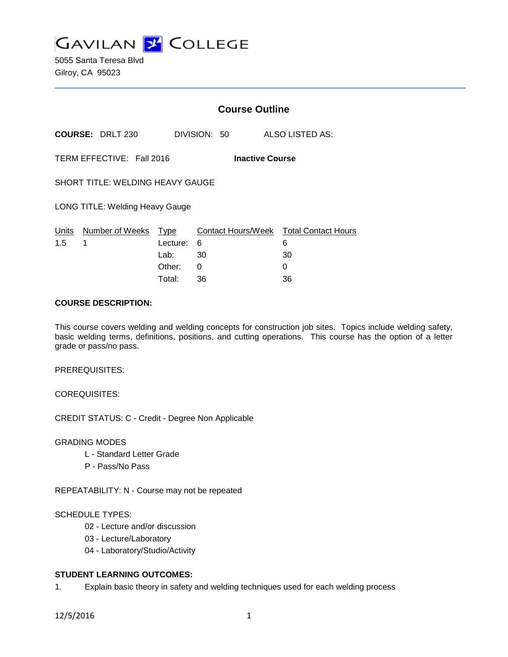**GAVILAN Z COLLEGE** 

5055 Santa Teresa Blvd Gilroy, CA 95023

|                                                     |                                 | <b>Course Outline</b> |              |                                             |  |
|-----------------------------------------------------|---------------------------------|-----------------------|--------------|---------------------------------------------|--|
|                                                     | <b>COURSE: DRLT 230</b>         |                       | DIVISION: 50 | ALSO LISTED AS:                             |  |
| TERM EFFECTIVE: Fall 2016<br><b>Inactive Course</b> |                                 |                       |              |                                             |  |
| <b>SHORT TITLE: WELDING HEAVY GAUGE</b>             |                                 |                       |              |                                             |  |
|                                                     | LONG TITLE: Welding Heavy Gauge |                       |              |                                             |  |
| Units<br>1.5                                        | Number of Weeks<br>1            | Type<br>Lecture:      | 6            | Contact Hours/Week Total Contact Hours<br>6 |  |
|                                                     |                                 | Lab:                  | 30           | 30                                          |  |
|                                                     |                                 | Other:                | 0            | 0                                           |  |
|                                                     |                                 | Total:                | 36           | 36                                          |  |

### **COURSE DESCRIPTION:**

This course covers welding and welding concepts for construction job sites. Topics include welding safety, basic welding terms, definitions, positions, and cutting operations. This course has the option of a letter grade or pass/no pass.

PREREQUISITES:

COREQUISITES:

CREDIT STATUS: C - Credit - Degree Non Applicable

### GRADING MODES

- L Standard Letter Grade
- P Pass/No Pass

REPEATABILITY: N - Course may not be repeated

#### SCHEDULE TYPES:

- 02 Lecture and/or discussion
- 03 Lecture/Laboratory
- 04 Laboratory/Studio/Activity

# **STUDENT LEARNING OUTCOMES:**

1. Explain basic theory in safety and welding techniques used for each welding process

12/5/2016 1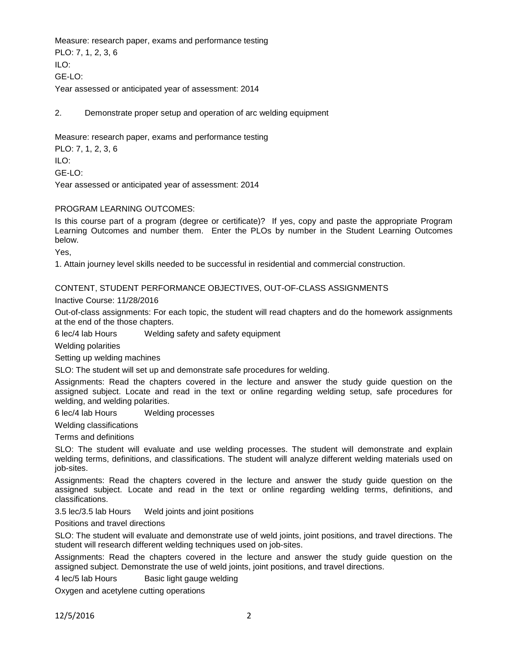Measure: research paper, exams and performance testing PLO: 7, 1, 2, 3, 6 ILO: GE-LO: Year assessed or anticipated year of assessment: 2014

2. Demonstrate proper setup and operation of arc welding equipment

Measure: research paper, exams and performance testing

PLO: 7, 1, 2, 3, 6

ILO:

GE-LO:

Year assessed or anticipated year of assessment: 2014

### PROGRAM LEARNING OUTCOMES:

Is this course part of a program (degree or certificate)? If yes, copy and paste the appropriate Program Learning Outcomes and number them. Enter the PLOs by number in the Student Learning Outcomes below.

Yes,

1. Attain journey level skills needed to be successful in residential and commercial construction.

#### CONTENT, STUDENT PERFORMANCE OBJECTIVES, OUT-OF-CLASS ASSIGNMENTS

Inactive Course: 11/28/2016

Out-of-class assignments: For each topic, the student will read chapters and do the homework assignments at the end of the those chapters.

6 lec/4 lab Hours Welding safety and safety equipment

Welding polarities

Setting up welding machines

SLO: The student will set up and demonstrate safe procedures for welding.

Assignments: Read the chapters covered in the lecture and answer the study guide question on the assigned subject. Locate and read in the text or online regarding welding setup, safe procedures for welding, and welding polarities.

6 lec/4 lab Hours Welding processes

Welding classifications

Terms and definitions

SLO: The student will evaluate and use welding processes. The student will demonstrate and explain welding terms, definitions, and classifications. The student will analyze different welding materials used on job-sites.

Assignments: Read the chapters covered in the lecture and answer the study guide question on the assigned subject. Locate and read in the text or online regarding welding terms, definitions, and classifications.

3.5 lec/3.5 lab Hours Weld joints and joint positions

Positions and travel directions

SLO: The student will evaluate and demonstrate use of weld joints, joint positions, and travel directions. The student will research different welding techniques used on job-sites.

Assignments: Read the chapters covered in the lecture and answer the study guide question on the assigned subject. Demonstrate the use of weld joints, joint positions, and travel directions.

4 lec/5 lab Hours Basic light gauge welding

Oxygen and acetylene cutting operations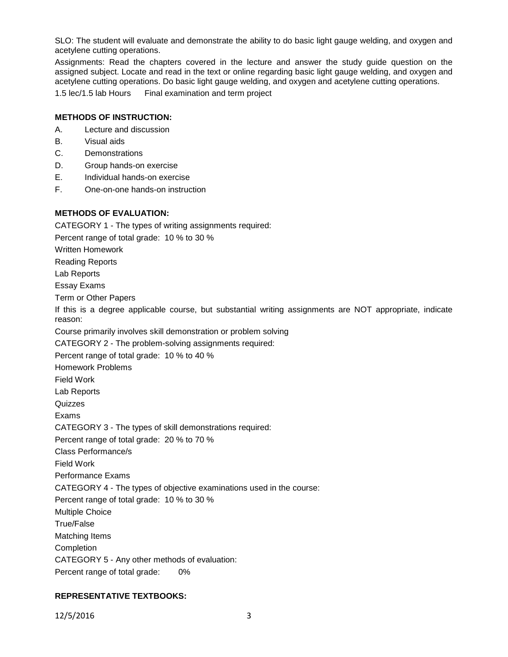SLO: The student will evaluate and demonstrate the ability to do basic light gauge welding, and oxygen and acetylene cutting operations.

Assignments: Read the chapters covered in the lecture and answer the study guide question on the assigned subject. Locate and read in the text or online regarding basic light gauge welding, and oxygen and acetylene cutting operations. Do basic light gauge welding, and oxygen and acetylene cutting operations.

1.5 lec/1.5 lab Hours Final examination and term project

## **METHODS OF INSTRUCTION:**

- A. Lecture and discussion
- B. Visual aids
- C. Demonstrations
- D. Group hands-on exercise
- E. Individual hands-on exercise
- F. One-on-one hands-on instruction

**METHODS OF EVALUATION:** CATEGORY 1 - The types of writing assignments required: Percent range of total grade: 10 % to 30 % Written Homework Reading Reports Lab Reports Essay Exams Term or Other Papers If this is a degree applicable course, but substantial writing assignments are NOT appropriate, indicate reason: Course primarily involves skill demonstration or problem solving CATEGORY 2 - The problem-solving assignments required: Percent range of total grade: 10 % to 40 % Homework Problems Field Work Lab Reports **Quizzes** Exams CATEGORY 3 - The types of skill demonstrations required: Percent range of total grade: 20 % to 70 % Class Performance/s Field Work Performance Exams CATEGORY 4 - The types of objective examinations used in the course: Percent range of total grade: 10 % to 30 % Multiple Choice True/False Matching Items Completion

- CATEGORY 5 Any other methods of evaluation:
- Percent range of total grade: 0%

# **REPRESENTATIVE TEXTBOOKS:**

12/5/2016 3